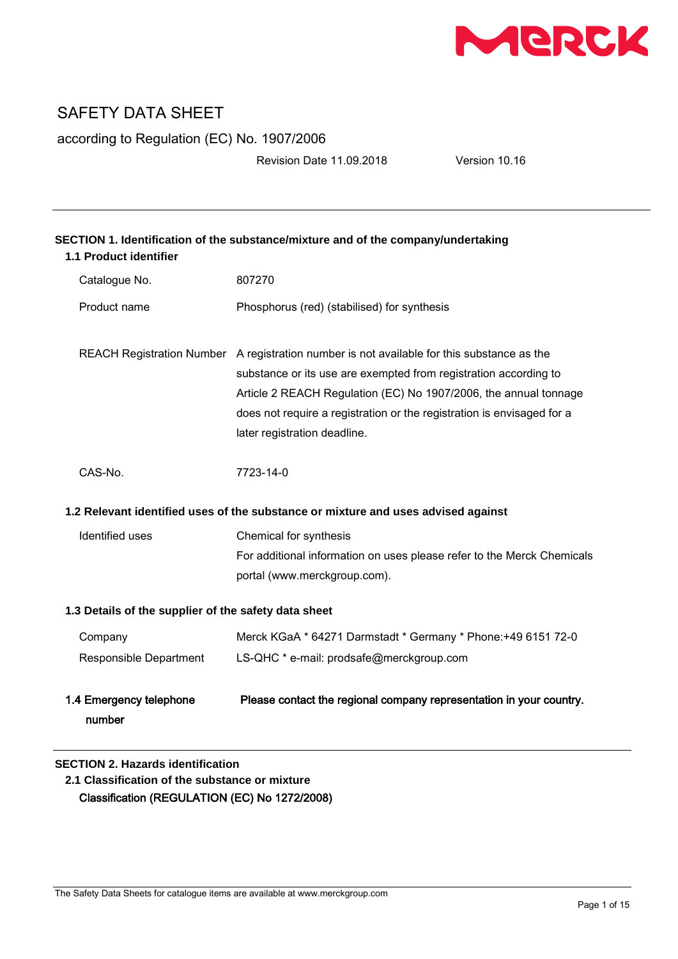

according to Regulation (EC) No. 1907/2006

Revision Date 11.09.2018 Version 10.16

| SECTION 1. Identification of the substance/mixture and of the company/undertaking<br><b>1.1 Product identifier</b> |                                                                                                                                                                                                                                                                                                                                              |  |
|--------------------------------------------------------------------------------------------------------------------|----------------------------------------------------------------------------------------------------------------------------------------------------------------------------------------------------------------------------------------------------------------------------------------------------------------------------------------------|--|
| Catalogue No.                                                                                                      | 807270                                                                                                                                                                                                                                                                                                                                       |  |
| Product name                                                                                                       | Phosphorus (red) (stabilised) for synthesis                                                                                                                                                                                                                                                                                                  |  |
|                                                                                                                    | REACH Registration Number A registration number is not available for this substance as the<br>substance or its use are exempted from registration according to<br>Article 2 REACH Regulation (EC) No 1907/2006, the annual tonnage<br>does not require a registration or the registration is envisaged for a<br>later registration deadline. |  |
| CAS-No.                                                                                                            | 7723-14-0                                                                                                                                                                                                                                                                                                                                    |  |
| 1.2 Relevant identified uses of the substance or mixture and uses advised against                                  |                                                                                                                                                                                                                                                                                                                                              |  |
| Identified uses                                                                                                    | Chemical for synthesis                                                                                                                                                                                                                                                                                                                       |  |
|                                                                                                                    | For additional information on uses please refer to the Merck Chemicals<br>portal (www.merckgroup.com).                                                                                                                                                                                                                                       |  |
| 1.3 Details of the supplier of the safety data sheet                                                               |                                                                                                                                                                                                                                                                                                                                              |  |
| Company                                                                                                            | Merck KGaA * 64271 Darmstadt * Germany * Phone: +49 6151 72-0                                                                                                                                                                                                                                                                                |  |
| Responsible Department                                                                                             | LS-QHC * e-mail: prodsafe@merckgroup.com                                                                                                                                                                                                                                                                                                     |  |
| 1.4 Emergency telephone<br>number                                                                                  | Please contact the regional company representation in your country.                                                                                                                                                                                                                                                                          |  |

### **SECTION 2. Hazards identification**

**2.1 Classification of the substance or mixture** Classification (REGULATION (EC) No 1272/2008)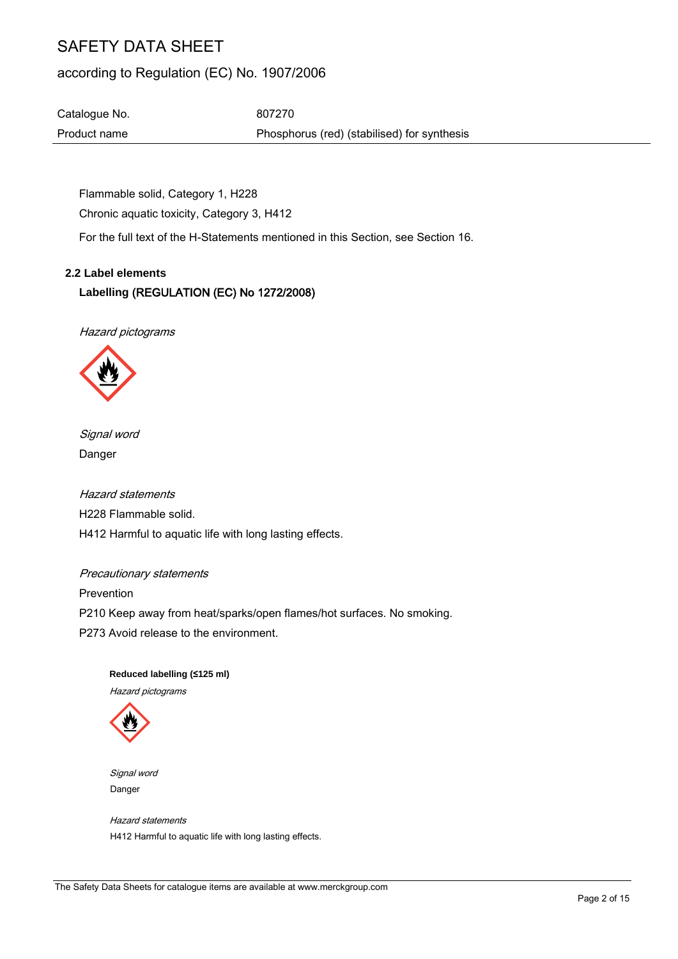## according to Regulation (EC) No. 1907/2006

Catalogue No. 607270 Product name **Phosphorus** (red) (stabilised) for synthesis

Flammable solid, Category 1, H228 Chronic aquatic toxicity, Category 3, H412

For the full text of the H-Statements mentioned in this Section, see Section 16.

#### **2.2 Label elements**

### **Labelling** (REGULATION (EC) No 1272/2008)

Hazard pictograms



Signal word Danger

Hazard statements H228 Flammable solid. H412 Harmful to aquatic life with long lasting effects.

#### Precautionary statements

Prevention

P210 Keep away from heat/sparks/open flames/hot surfaces. No smoking.

P273 Avoid release to the environment.

 **Reduced labelling (≤125 ml)** Hazard pictograms



 Signal word Danger

 Hazard statements H412 Harmful to aquatic life with long lasting effects.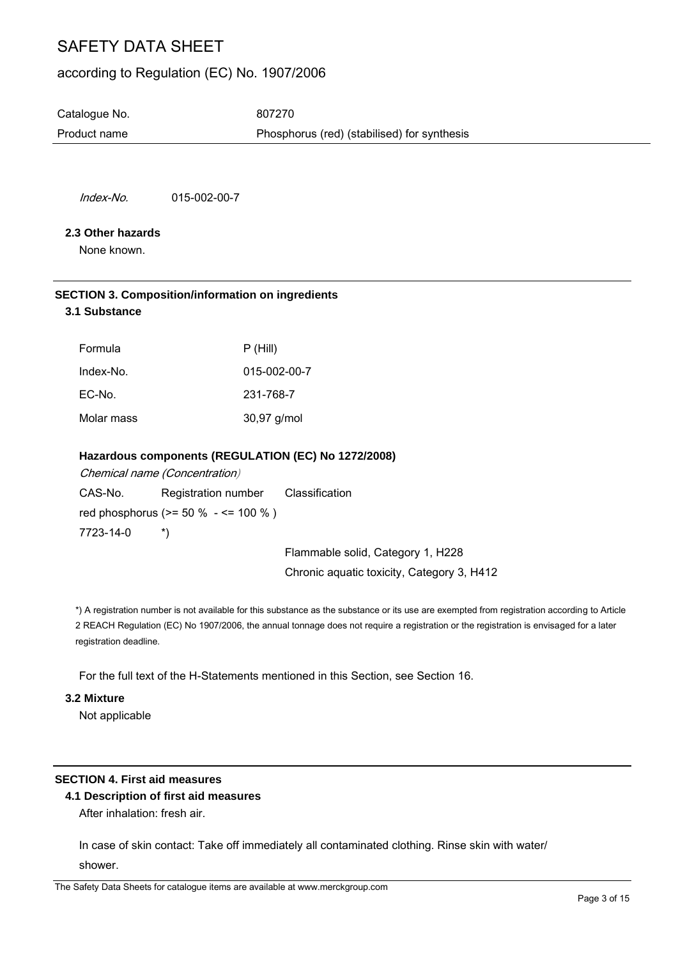### according to Regulation (EC) No. 1907/2006

Catalogue No. 607270 Product name Phosphorus (red) (stabilised) for synthesis

Index-No. 015-002-00-7

#### **2.3 Other hazards**

None known.

#### **SECTION 3. Composition/information on ingredients 3.1 Substance**

| Formula    | P(Hill)      |
|------------|--------------|
| Index-No.  | 015-002-00-7 |
| EC-No.     | 231-768-7    |
| Molar mass | 30,97 g/mol  |

#### **Hazardous components (REGULATION (EC) No 1272/2008)**

Chemical name (Concentration) CAS-No. Registration number Classification red phosphorus (>= 50 % - <= 100 % ) 7723-14-0 \*)

Flammable solid, Category 1, H228 Chronic aquatic toxicity, Category 3, H412

\*) A registration number is not available for this substance as the substance or its use are exempted from registration according to Article 2 REACH Regulation (EC) No 1907/2006, the annual tonnage does not require a registration or the registration is envisaged for a later registration deadline.

For the full text of the H-Statements mentioned in this Section, see Section 16.

#### **3.2 Mixture**

Not applicable

#### **SECTION 4. First aid measures**

#### **4.1 Description of first aid measures**

After inhalation: fresh air.

In case of skin contact: Take off immediately all contaminated clothing. Rinse skin with water/ shower.

The Safety Data Sheets for catalogue items are available at www.merckgroup.com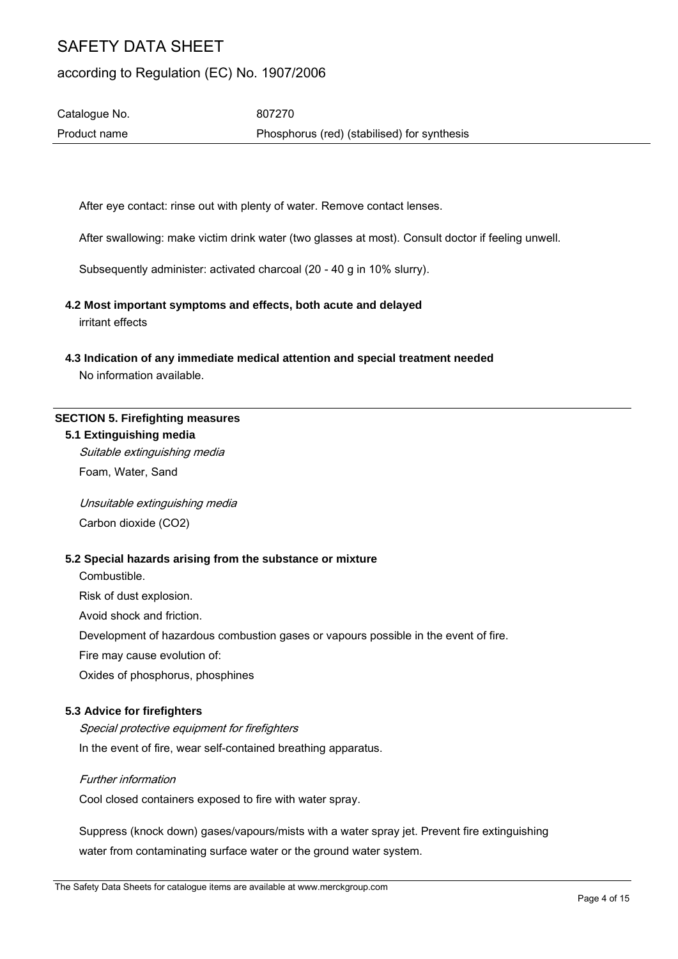## according to Regulation (EC) No. 1907/2006

Catalogue No. 607270 Product name Phosphorus (red) (stabilised) for synthesis

After eye contact: rinse out with plenty of water. Remove contact lenses.

After swallowing: make victim drink water (two glasses at most). Consult doctor if feeling unwell.

Subsequently administer: activated charcoal (20 - 40 g in 10% slurry).

# **4.2 Most important symptoms and effects, both acute and delayed**

irritant effects

**4.3 Indication of any immediate medical attention and special treatment needed**

No information available.

#### **SECTION 5. Firefighting measures**

#### **5.1 Extinguishing media**

Suitable extinguishing media Foam, Water, Sand

Unsuitable extinguishing media Carbon dioxide (CO2)

#### **5.2 Special hazards arising from the substance or mixture**

Combustible.

Risk of dust explosion.

Avoid shock and friction.

Development of hazardous combustion gases or vapours possible in the event of fire.

Fire may cause evolution of:

Oxides of phosphorus, phosphines

#### **5.3 Advice for firefighters**

Special protective equipment for firefighters In the event of fire, wear self-contained breathing apparatus.

### Further information

Cool closed containers exposed to fire with water spray.

Suppress (knock down) gases/vapours/mists with a water spray jet. Prevent fire extinguishing water from contaminating surface water or the ground water system.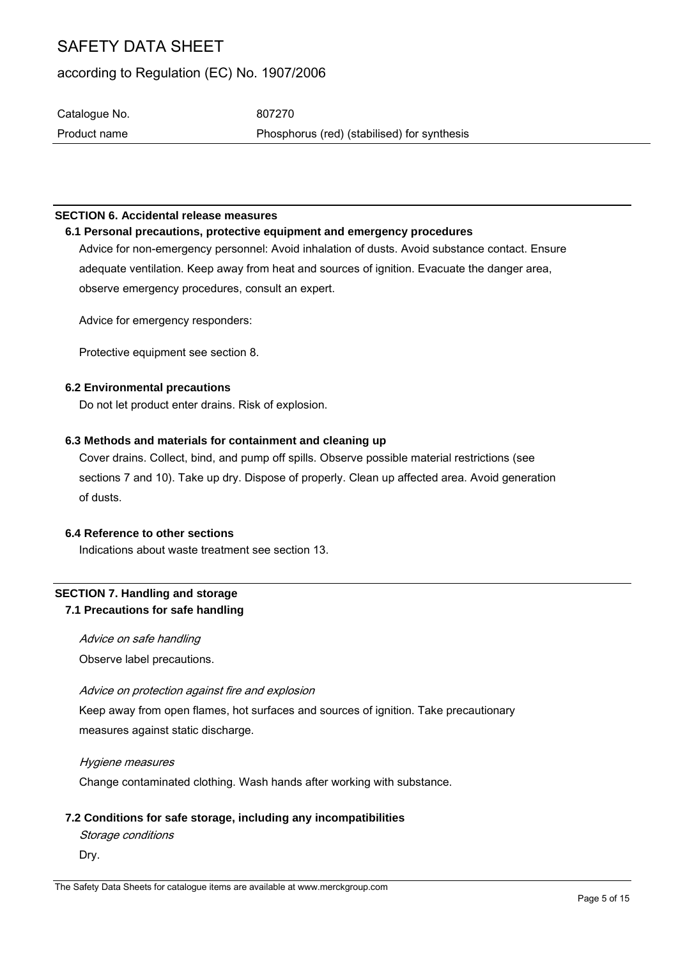### according to Regulation (EC) No. 1907/2006

Catalogue No. 607270 Product name Phosphorus (red) (stabilised) for synthesis

#### **SECTION 6. Accidental release measures**

**6.1 Personal precautions, protective equipment and emergency procedures** Advice for non-emergency personnel: Avoid inhalation of dusts. Avoid substance contact. Ensure adequate ventilation. Keep away from heat and sources of ignition. Evacuate the danger area, observe emergency procedures, consult an expert.

Advice for emergency responders:

Protective equipment see section 8.

#### **6.2 Environmental precautions**

Do not let product enter drains. Risk of explosion.

#### **6.3 Methods and materials for containment and cleaning up**

Cover drains. Collect, bind, and pump off spills. Observe possible material restrictions (see sections 7 and 10). Take up dry. Dispose of properly. Clean up affected area. Avoid generation of dusts.

#### **6.4 Reference to other sections**

Indications about waste treatment see section 13.

#### **SECTION 7. Handling and storage 7.1 Precautions for safe handling**

Advice on safe handling Observe label precautions.

#### Advice on protection against fire and explosion

Keep away from open flames, hot surfaces and sources of ignition. Take precautionary measures against static discharge.

Hygiene measures

Change contaminated clothing. Wash hands after working with substance.

### **7.2 Conditions for safe storage, including any incompatibilities**

Storage conditions

Dry.

The Safety Data Sheets for catalogue items are available at www.merckgroup.com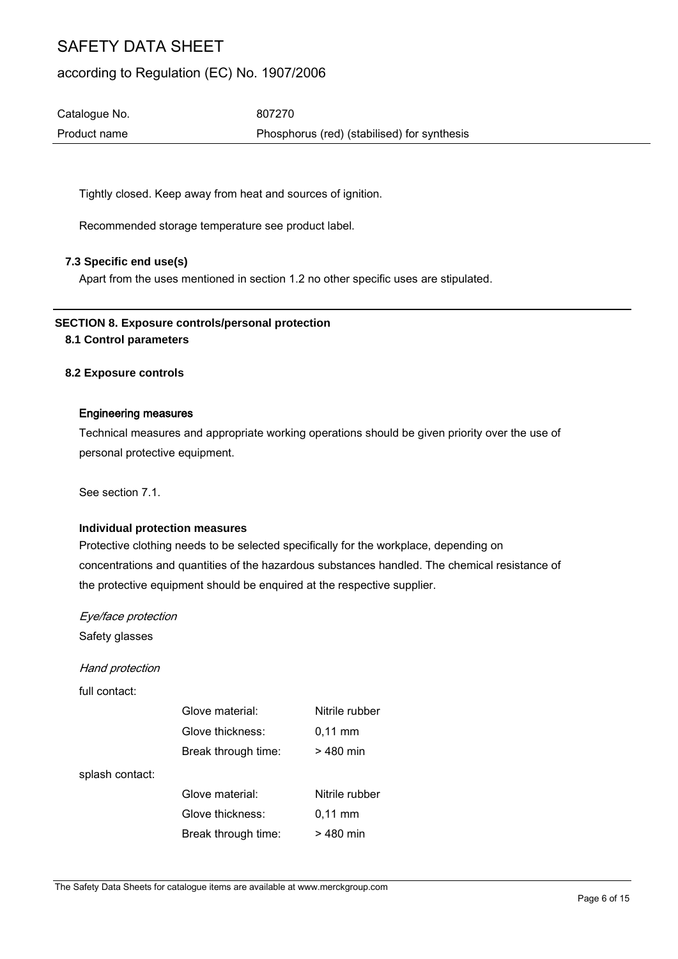### according to Regulation (EC) No. 1907/2006

Catalogue No. 607270 Product name Phosphorus (red) (stabilised) for synthesis

Tightly closed. Keep away from heat and sources of ignition.

Recommended storage temperature see product label.

#### **7.3 Specific end use(s)**

Apart from the uses mentioned in section 1.2 no other specific uses are stipulated.

## **SECTION 8. Exposure controls/personal protection**

#### **8.1 Control parameters**

#### **8.2 Exposure controls**

#### Engineering measures

Technical measures and appropriate working operations should be given priority over the use of personal protective equipment.

See section 7.1.

#### **Individual protection measures**

Protective clothing needs to be selected specifically for the workplace, depending on concentrations and quantities of the hazardous substances handled. The chemical resistance of the protective equipment should be enquired at the respective supplier.

Eye/face protection

Safety glasses

Hand protection

full contact:

|                 | Glove material:     | Nitrile rubber      |
|-----------------|---------------------|---------------------|
|                 | Glove thickness:    | $0,11$ mm           |
|                 | Break through time: | > 480 min           |
| splash contact: |                     |                     |
|                 | Glove material:     | Nitrile rubber      |
|                 | Glove thickness:    | $0.11 \, \text{mm}$ |
|                 | Break through time: | > 480 min           |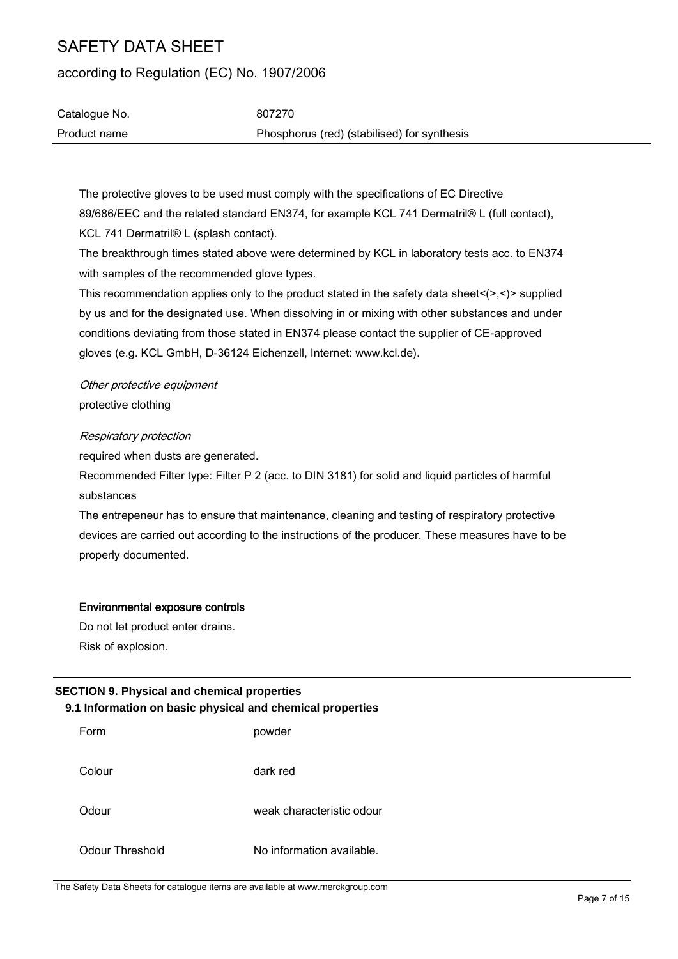according to Regulation (EC) No. 1907/2006

| Catalogue No. | 807270                                      |
|---------------|---------------------------------------------|
| Product name  | Phosphorus (red) (stabilised) for synthesis |

The protective gloves to be used must comply with the specifications of EC Directive 89/686/EEC and the related standard EN374, for example KCL 741 Dermatril® L (full contact), KCL 741 Dermatril® L (splash contact).

The breakthrough times stated above were determined by KCL in laboratory tests acc. to EN374 with samples of the recommended glove types.

This recommendation applies only to the product stated in the safety data sheet $\langle \rangle$ , $\langle \rangle$  supplied by us and for the designated use. When dissolving in or mixing with other substances and under conditions deviating from those stated in EN374 please contact the supplier of CE-approved gloves (e.g. KCL GmbH, D-36124 Eichenzell, Internet: www.kcl.de).

Other protective equipment protective clothing

#### Respiratory protection

required when dusts are generated.

Recommended Filter type: Filter P 2 (acc. to DIN 3181) for solid and liquid particles of harmful substances

The entrepeneur has to ensure that maintenance, cleaning and testing of respiratory protective devices are carried out according to the instructions of the producer. These measures have to be properly documented.

#### Environmental exposure controls

Do not let product enter drains. Risk of explosion.

#### **SECTION 9. Physical and chemical properties 9.1 Information on basic physical and chemical properties**

| Form            | powder                    |
|-----------------|---------------------------|
| Colour          | dark red                  |
| Odour           | weak characteristic odour |
| Odour Threshold | No information available. |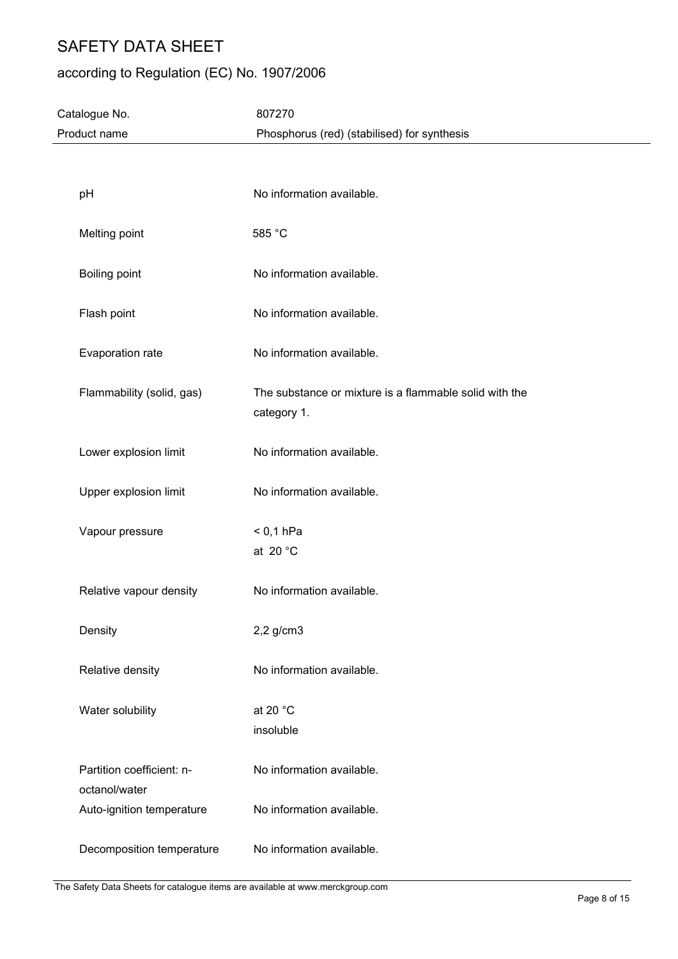## according to Regulation (EC) No. 1907/2006

| Catalogue No.                              | 807270                                                                |
|--------------------------------------------|-----------------------------------------------------------------------|
| Product name                               | Phosphorus (red) (stabilised) for synthesis                           |
|                                            |                                                                       |
| pH                                         | No information available.                                             |
| Melting point                              | 585 °C                                                                |
| Boiling point                              | No information available.                                             |
| Flash point                                | No information available.                                             |
| Evaporation rate                           | No information available.                                             |
| Flammability (solid, gas)                  | The substance or mixture is a flammable solid with the<br>category 1. |
| Lower explosion limit                      | No information available.                                             |
| Upper explosion limit                      | No information available.                                             |
| Vapour pressure                            | $< 0,1$ hPa<br>at 20 $^{\circ}$ C                                     |
| Relative vapour density                    | No information available.                                             |
| Density                                    | $2,2$ g/cm $3$                                                        |
| Relative density                           | No information available.                                             |
| Water solubility                           | at 20 °C<br>insoluble                                                 |
| Partition coefficient: n-<br>octanol/water | No information available.                                             |
| Auto-ignition temperature                  | No information available.                                             |
| Decomposition temperature                  | No information available.                                             |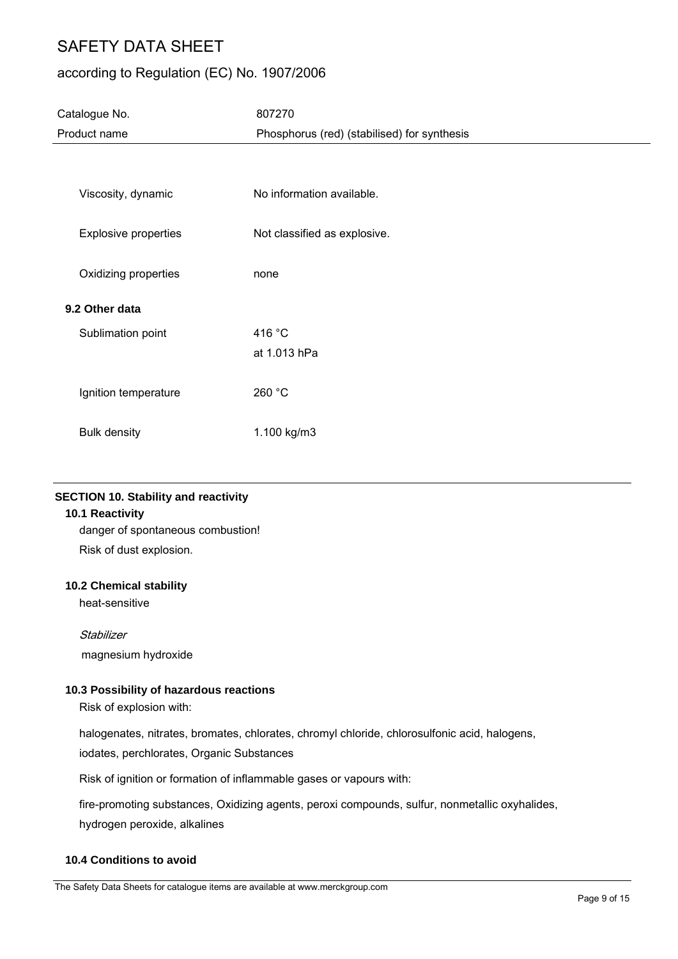## according to Regulation (EC) No. 1907/2006

| Catalogue No.               | 807270                                      |
|-----------------------------|---------------------------------------------|
| Product name                | Phosphorus (red) (stabilised) for synthesis |
|                             |                                             |
| Viscosity, dynamic          | No information available.                   |
| <b>Explosive properties</b> | Not classified as explosive.                |
| Oxidizing properties        | none                                        |
| 9.2 Other data              |                                             |
| Sublimation point           | 416 °C                                      |
|                             | at 1.013 hPa                                |
| Ignition temperature        | 260 °C                                      |
| <b>Bulk density</b>         | 1.100 kg/m3                                 |

#### **SECTION 10. Stability and reactivity**

#### **10.1 Reactivity**

danger of spontaneous combustion! Risk of dust explosion.

#### **10.2 Chemical stability**

heat-sensitive

#### **Stabilizer**

magnesium hydroxide

#### **10.3 Possibility of hazardous reactions**

Risk of explosion with:

halogenates, nitrates, bromates, chlorates, chromyl chloride, chlorosulfonic acid, halogens, iodates, perchlorates, Organic Substances

Risk of ignition or formation of inflammable gases or vapours with:

fire-promoting substances, Oxidizing agents, peroxi compounds, sulfur, nonmetallic oxyhalides, hydrogen peroxide, alkalines

#### **10.4 Conditions to avoid**

The Safety Data Sheets for catalogue items are available at www.merckgroup.com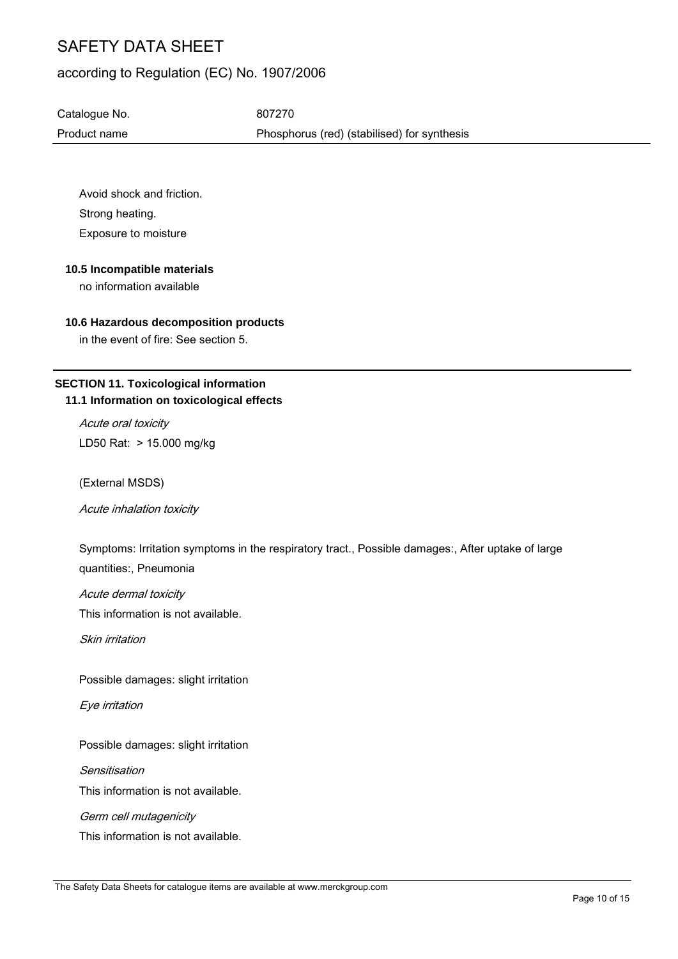### according to Regulation (EC) No. 1907/2006

Catalogue No. 607270 Product name Phosphorus (red) (stabilised) for synthesis

Avoid shock and friction. Strong heating. Exposure to moisture

#### **10.5 Incompatible materials**

no information available

#### **10.6 Hazardous decomposition products**

in the event of fire: See section 5.

### **SECTION 11. Toxicological information 11.1 Information on toxicological effects**

Acute oral toxicity LD50 Rat: > 15.000 mg/kg

(External MSDS)

Acute inhalation toxicity

Symptoms: Irritation symptoms in the respiratory tract., Possible damages:, After uptake of large quantities:, Pneumonia

Acute dermal toxicity

This information is not available.

Skin irritation

Possible damages: slight irritation

Eye irritation

Possible damages: slight irritation

Sensitisation

This information is not available.

Germ cell mutagenicity

This information is not available.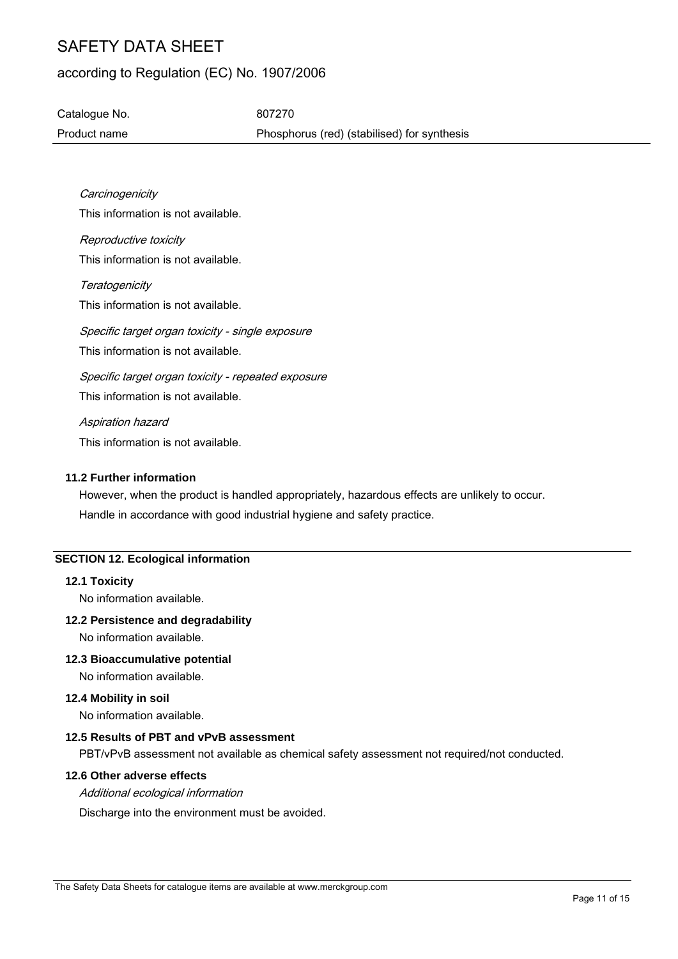## according to Regulation (EC) No. 1907/2006

Catalogue No. 607270 Product name Phosphorus (red) (stabilised) for synthesis

**Carcinogenicity** This information is not available. Reproductive toxicity This information is not available. **Teratogenicity** This information is not available. Specific target organ toxicity - single exposure This information is not available. Specific target organ toxicity - repeated exposure This information is not available. Aspiration hazard This information is not available.

#### **11.2 Further information**

However, when the product is handled appropriately, hazardous effects are unlikely to occur. Handle in accordance with good industrial hygiene and safety practice.

### **SECTION 12. Ecological information**

#### **12.1 Toxicity**

No information available.

#### **12.2 Persistence and degradability**

No information available.

#### **12.3 Bioaccumulative potential**

No information available.

#### **12.4 Mobility in soil**

No information available.

#### **12.5 Results of PBT and vPvB assessment**

PBT/vPvB assessment not available as chemical safety assessment not required/not conducted.

#### **12.6 Other adverse effects**

Additional ecological information

Discharge into the environment must be avoided.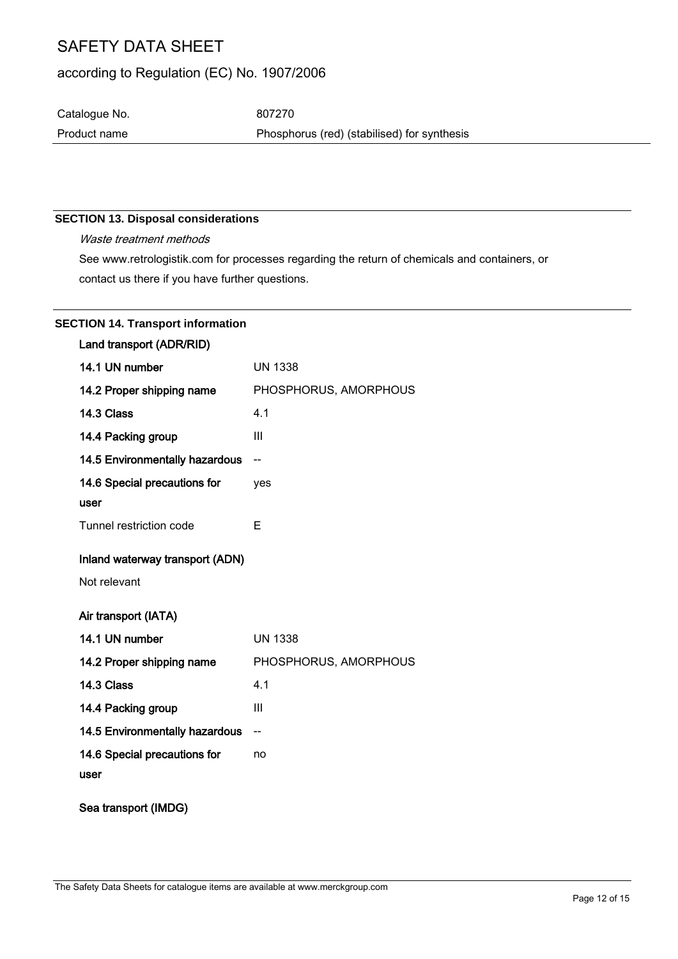## according to Regulation (EC) No. 1907/2006

Catalogue No. 607270

Product name **Phosphorus** (red) (stabilised) for synthesis

### **SECTION 13. Disposal considerations**

Waste treatment methods See www.retrologistik.com for processes regarding the return of chemicals and containers, or contact us there if you have further questions.

| <b>SECTION 14. Transport information</b> |  |
|------------------------------------------|--|
|                                          |  |

| Land transport (ADR/RID)        |                       |
|---------------------------------|-----------------------|
| 14.1 UN number                  | <b>UN 1338</b>        |
| 14.2 Proper shipping name       | PHOSPHORUS, AMORPHOUS |
| 14.3 Class                      | 4.1                   |
| 14.4 Packing group              | III                   |
| 14.5 Environmentally hazardous  | $-$                   |
| 14.6 Special precautions for    | yes                   |
| user                            |                       |
| Tunnel restriction code         | E                     |
| Inland waterway transport (ADN) |                       |
| Not relevant                    |                       |
| Air transport (IATA)            |                       |
| 14.1 UN number                  | <b>UN 1338</b>        |
| 14.2 Proper shipping name       | PHOSPHORUS, AMORPHOUS |
| 14.3 Class                      | 4.1                   |
| 14.4 Packing group              | III                   |
| 14.5 Environmentally hazardous  | --                    |
| 14.6 Special precautions for    | no                    |
| user                            |                       |
| Sea transport (IMDG)            |                       |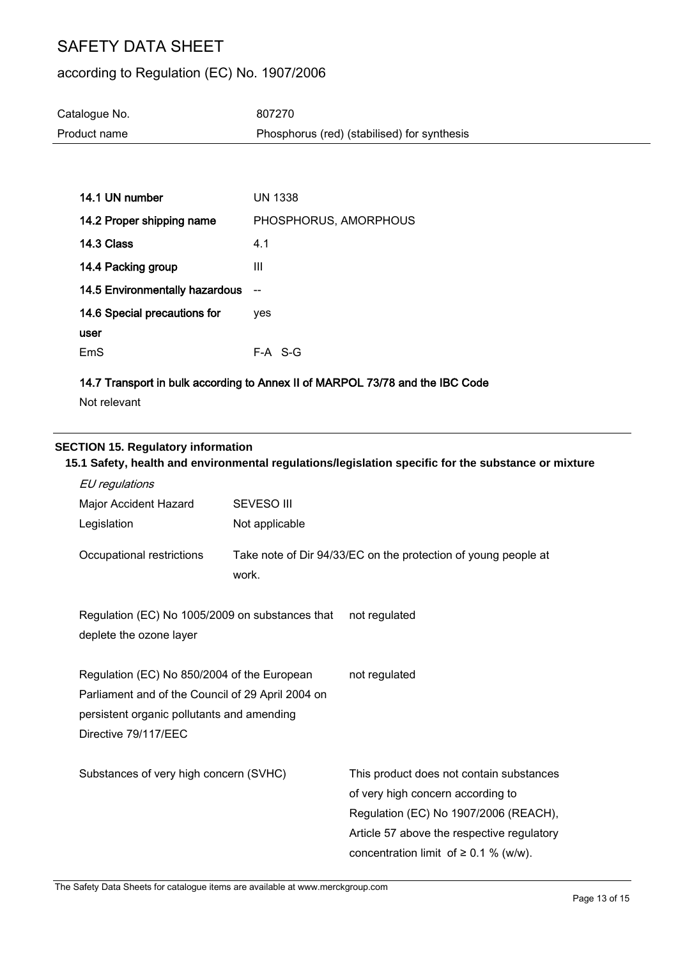### according to Regulation (EC) No. 1907/2006

| Catalogue No. | 807270                                      |
|---------------|---------------------------------------------|
| Product name  | Phosphorus (red) (stabilised) for synthesis |

| 14.1 UN number                        | <b>UN 1338</b>        |
|---------------------------------------|-----------------------|
| 14.2 Proper shipping name             | PHOSPHORUS, AMORPHOUS |
| 14.3 Class                            | 4.1                   |
| 14.4 Packing group                    | Ш                     |
| <b>14.5 Environmentally hazardous</b> |                       |
| 14.6 Special precautions for          | ves                   |
| user                                  |                       |
| FmS                                   | F-A S-G               |

#### 14.7 Transport in bulk according to Annex II of MARPOL 73/78 and the IBC Code

Not relevant

#### **SECTION 15. Regulatory information**

## **15.1 Safety, health and environmental regulations/legislation specific for the substance or mixture** EU regulations Major Accident Hazard Legislation SEVESO III Not applicable Occupational restrictions Take note of Dir 94/33/EC on the protection of young people at work. Regulation (EC) No 1005/2009 on substances that deplete the ozone layer not regulated Regulation (EC) No 850/2004 of the European Parliament and of the Council of 29 April 2004 on persistent organic pollutants and amending Directive 79/117/EEC not regulated Substances of very high concern (SVHC) This product does not contain substances of very high concern according to Regulation (EC) No 1907/2006 (REACH), Article 57 above the respective regulatory concentration limit of  $\geq 0.1$  % (w/w).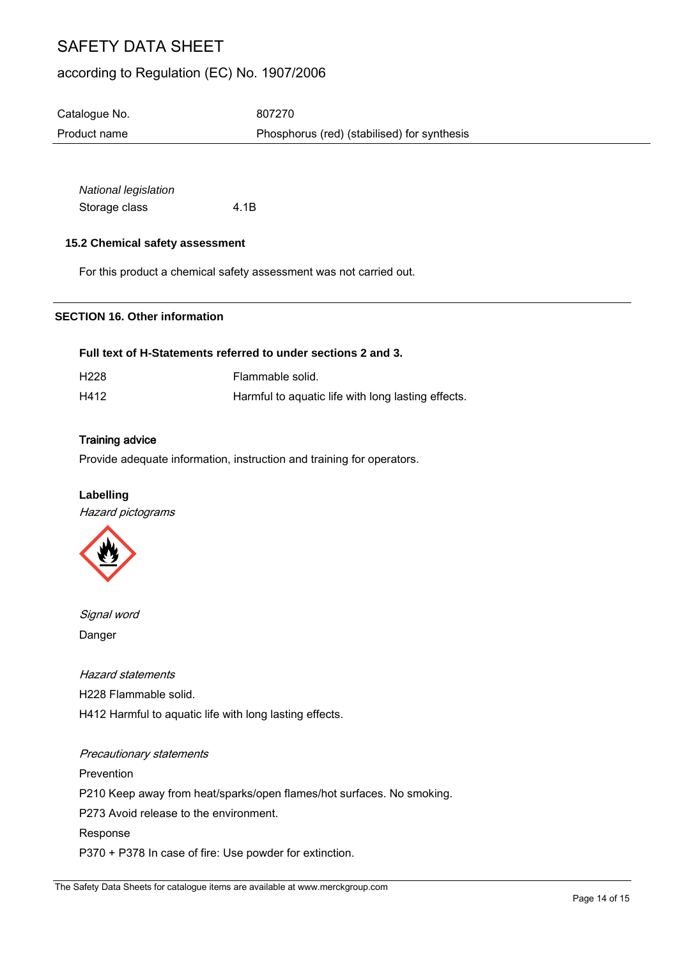### according to Regulation (EC) No. 1907/2006

| Catalogue No. | 807270                                      |
|---------------|---------------------------------------------|
| Product name  | Phosphorus (red) (stabilised) for synthesis |

*National legislation* Storage class 4.1B

#### **15.2 Chemical safety assessment**

For this product a chemical safety assessment was not carried out.

#### **SECTION 16. Other information**

#### **Full text of H-Statements referred to under sections 2 and 3.**

| H228 | Flammable solid.                                   |
|------|----------------------------------------------------|
| H412 | Harmful to aquatic life with long lasting effects. |

#### Training advice

Provide adequate information, instruction and training for operators.

#### **Labelling**

Hazard pictograms



Signal word Danger

#### Hazard statements

H228 Flammable solid. H412 Harmful to aquatic life with long lasting effects.

### Precautionary statements

Prevention P210 Keep away from heat/sparks/open flames/hot surfaces. No smoking. P273 Avoid release to the environment. Response P370 + P378 In case of fire: Use powder for extinction.